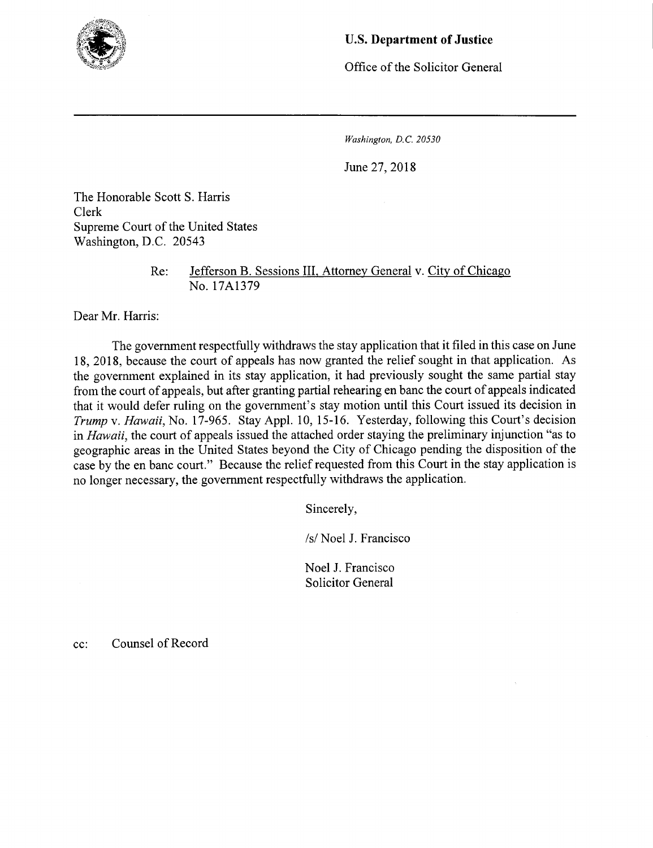

## U.S. **Department of Justice**

Office of the Solicitor General

*Washington, D.C. 20530* 

June 27, 2018

The Honorable Scott S. Harris Clerk Supreme Court of the United States Washington, D.C. *20543* 

> Re: Jefferson B. Sessions III, Attorney General v. City of Chicago No. 17A1379

Dear Mr. Harris:

The government respectfully withdraws the stay application that it filed in this case on June 18, 2018, because the court of appeals has now granted the relief sought in that application. As the government explained in its stay application, it had previously sought the same partial stay from the court of appeals, but after granting partial rehearing en banc the court of appeals indicated that it would defer ruling on the government's stay motion until this Court issued its decision in *Trump v. Hawaii,* No. *17-965.* Stay Appl. 10, *15-16.* Yesterday, following this Court's decision in *Hawaii,* the court of appeals issued the attached order staying the preliminary injunction "as to geographic areas in the United States beyond the City of Chicago pending the disposition of the case by the en banc court." Because the relief requested from this Court in the stay application is no longer necessary, the government respectfully withdraws the application.

Sincerely,

*Is!* Noel J. Francisco

Noel J. Francisco Solicitor General

cc: Counsel of Record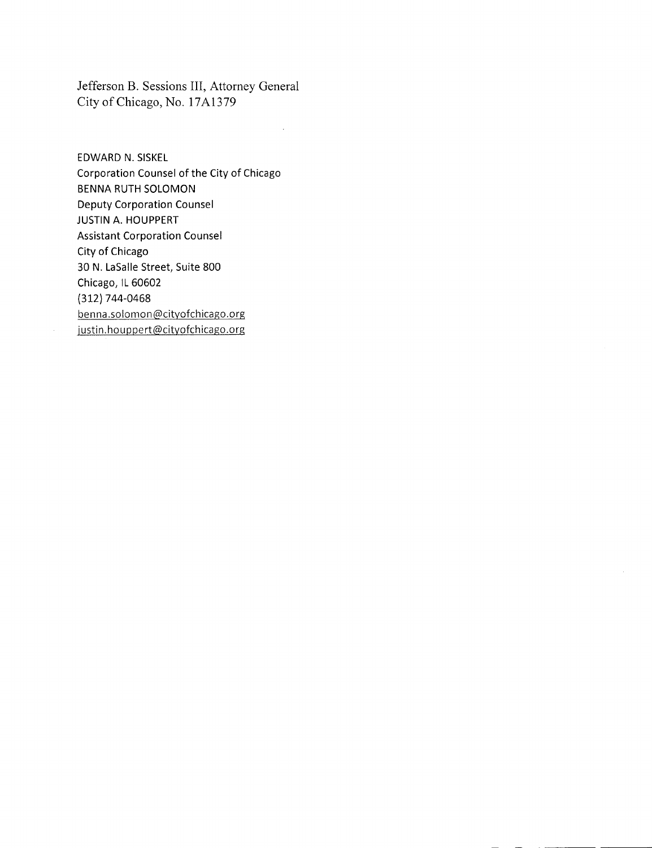Jefferson B. Sessions III, Attorney General City of Chicago, No. 17A1379

 $\bar{z}$ 

EDWARD N. SISKEL Corporation Counsel of the City of Chicago BENNA RUTH SOLOMON Deputy Corporation Counsel JUSTIN A. HOUPPERT Assistant Corporation Counsel City of Chicago 30 N. LaSalle Street, Suite 800 Chicago, IL 60602 (312) 744-0468 benna .solomon @cityofchicago.org iustin.houppert@cityofchicago.org